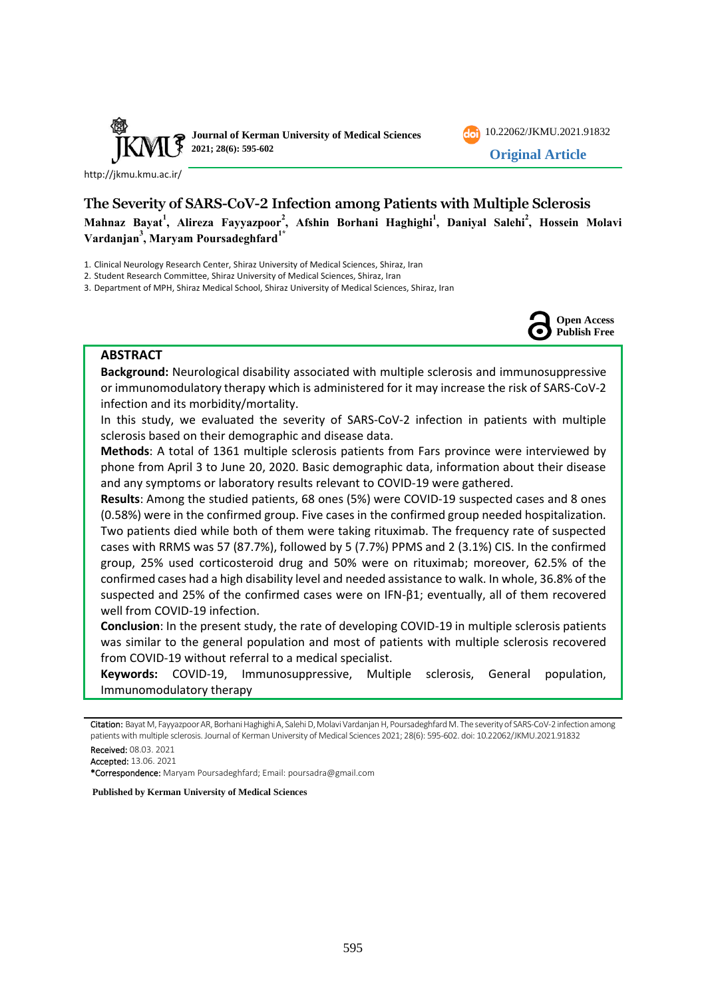

[10.22062/JKMU.2021.91832](https://dx.doi.org/10.22062/jkmu.2021.91832) **Original Article**

<http://jkmu.kmu.ac.ir/>

# **The Severity of SARS-CoV-2 Infection among Patients with Multiple Sclerosis Mahnaz Bayat<sup>1</sup> , Alireza Fayyazpoor<sup>2</sup> , Afshin Borhani Haghighi<sup>1</sup> , Daniyal Salehi<sup>2</sup> , Hossein Molavi Vardanjan<sup>3</sup> , Maryam Poursadeghfard1\***

1. Clinical Neurology Research Center, Shiraz University of Medical Sciences, Shiraz, Iran

2. Student Research Committee, Shiraz University of Medical Sciences, Shiraz, Iran

3. Department of MPH, Shiraz Medical School, Shiraz University of Medical Sciences, Shiraz, Iran



## **ABSTRACT**

**Background:** Neurological disability associated with multiple sclerosis and immunosuppressive or immunomodulatory therapy which is administered for it may increase the risk of SARS-CoV-2 infection and its morbidity/mortality.

In this study, we evaluated the severity of SARS-CoV-2 infection in patients with multiple sclerosis based on their demographic and disease data.

**Methods**: A total of 1361 multiple sclerosis patients from Fars province were interviewed by phone from April 3 to June 20, 2020. Basic demographic data, information about their disease and any symptoms or laboratory results relevant to COVID-19 were gathered.

**Results**: Among the studied patients, 68 ones (5%) were COVID-19 suspected cases and 8 ones (0.58%) were in the confirmed group. Five cases in the confirmed group needed hospitalization. Two patients died while both of them were taking rituximab. The frequency rate of suspected cases with RRMS was 57 (87.7%), followed by 5 (7.7%) PPMS and 2 (3.1%) CIS. In the confirmed group, 25% used corticosteroid drug and 50% were on rituximab; moreover, 62.5% of the confirmed cases had a high disability level and needed assistance to walk. In whole, 36.8% of the suspected and 25% of the confirmed cases were on IFN-β1; eventually, all of them recovered well from COVID-19 infection.

**Conclusion**: In the present study, the rate of developing COVID-19 in multiple sclerosis patients was similar to the general population and most of patients with multiple sclerosis recovered from COVID-19 without referral to a medical specialist.

**Keywords:** COVID-19, Immunosuppressive, Multiple sclerosis, General population, Immunomodulatory therapy

- 
- Accepted: 13.06. 2021

\*Correspondence: Maryam Poursadeghfard; Email: poursadra@gmail.com

**Published by Kerman University of Medical Sciences**

Citation: Bayat M, Fayyazpoor AR, Borhani Haghighi A, Salehi D, Molavi Vardanjan H, Poursadeghfard M. The severity of SARS-CoV-2 infection among patients with multiple sclerosis. Journal of Kerman University of Medical Sciences 2021; 28(6): 595-602. doi: [10.22062/JKMU.2021.91832](https://dx.doi.org/10.22062/jkmu.2021.91832) Received: 08.03. 2021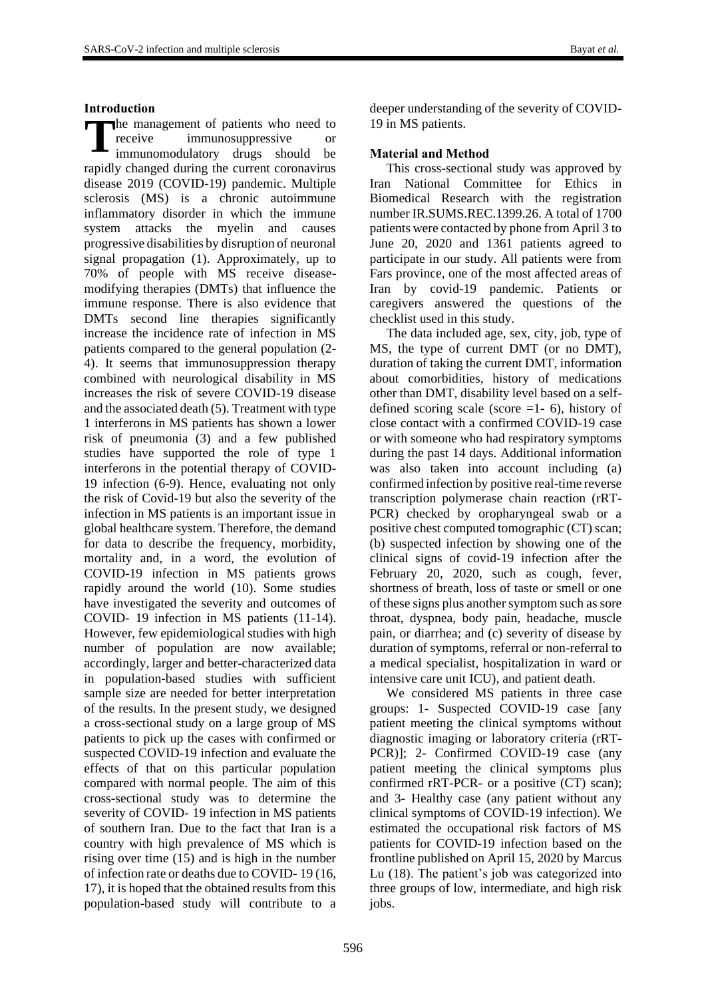# **Introduction**

The management of patients who need to<br>
receive immunosuppressive or<br>
immunomodulatory drugs should be receive immunosuppressive or immunomodulatory drugs should be rapidly changed during the current coronavirus disease 2019 (COVID-19) pandemic. Multiple sclerosis (MS) is a chronic autoimmune inflammatory disorder in which the immune system attacks the myelin and causes progressive disabilities by disruption of neuronal signal propagation (1). Approximately, up to 70% of people with MS receive diseasemodifying therapies (DMTs) that influence the immune response. There is also evidence that DMTs second line therapies significantly increase the incidence rate of infection in MS patients compared to the general population (2- 4). It seems that immunosuppression therapy combined with neurological disability in MS increases the risk of severe COVID-19 disease and the associated death (5). Treatment with type 1 interferons in MS patients has shown a lower risk of pneumonia (3) and a few published studies have supported the role of type 1 interferons in the potential therapy of COVID-19 infection (6-9). Hence, evaluating not only the risk of Covid-19 but also the severity of the infection in MS patients is an important issue in global healthcare system. Therefore, the demand for data to describe the frequency, morbidity, mortality and, in a word, the evolution of COVID-19 infection in MS patients grows rapidly around the world (10). Some studies have investigated the severity and outcomes of COVID- 19 infection in MS patients (11-14). However, few epidemiological studies with high number of population are now available; accordingly, larger and better-characterized data in population-based studies with sufficient sample size are needed for better interpretation of the results. In the present study, we designed a cross-sectional study on a large group of MS patients to pick up the cases with confirmed or suspected COVID-19 infection and evaluate the effects of that on this particular population compared with normal people. The aim of this cross-sectional study was to determine the severity of COVID- 19 infection in MS patients of southern Iran. Due to the fact that Iran is a country with high prevalence of MS which is rising over time (15) and is high in the number of infection rate or deaths due to COVID- 19 (16, 17), it is hoped that the obtained results from this population-based study will contribute to a

deeper understanding of the severity of COVID-19 in MS patients.

# **Material and Method**

This cross-sectional study was approved by Iran National Committee for Ethics in Biomedical Research with the registration number IR.SUMS.REC.1399.26. A total of 1700 patients were contacted by phone from April 3 to June 20, 2020 and 1361 patients agreed to participate in our study. All patients were from Fars province, one of the most affected areas of Iran by covid-19 pandemic. Patients or caregivers answered the questions of the checklist used in this study.

The data included age, sex, city, job, type of MS, the type of current DMT (or no DMT), duration of taking the current DMT, information about comorbidities, history of medications other than DMT, disability level based on a selfdefined scoring scale (score  $=1-6$ ), history of close contact with a confirmed COVID-19 case or with someone who had respiratory symptoms during the past 14 days. Additional information was also taken into account including (a) confirmed infection by positive real-time reverse transcription polymerase chain reaction (rRT-PCR) checked by oropharyngeal swab or a positive chest computed tomographic (CT) scan; (b) suspected infection by showing one of the clinical signs of covid-19 infection after the February 20, 2020, such as cough, fever, shortness of breath, loss of taste or smell or one of these signs plus another symptom such as sore throat, dyspnea, body pain, headache, muscle pain, or diarrhea; and (c) severity of disease by duration of symptoms, referral or non-referral to a medical specialist, hospitalization in ward or intensive care unit ICU), and patient death.

We considered MS patients in three case groups: 1- Suspected COVID-19 case [any patient meeting the clinical symptoms without diagnostic imaging or laboratory criteria (rRT-PCR)]; 2- Confirmed COVID-19 case (any patient meeting the clinical symptoms plus confirmed rRT-PCR- or a positive (CT) scan); and 3- Healthy case (any patient without any clinical symptoms of COVID-19 infection). We estimated the occupational risk factors of MS patients for COVID-19 infection based on the frontline published on April 15, 2020 by Marcus Lu (18). The patient's job was categorized into three groups of low, intermediate, and high risk jobs.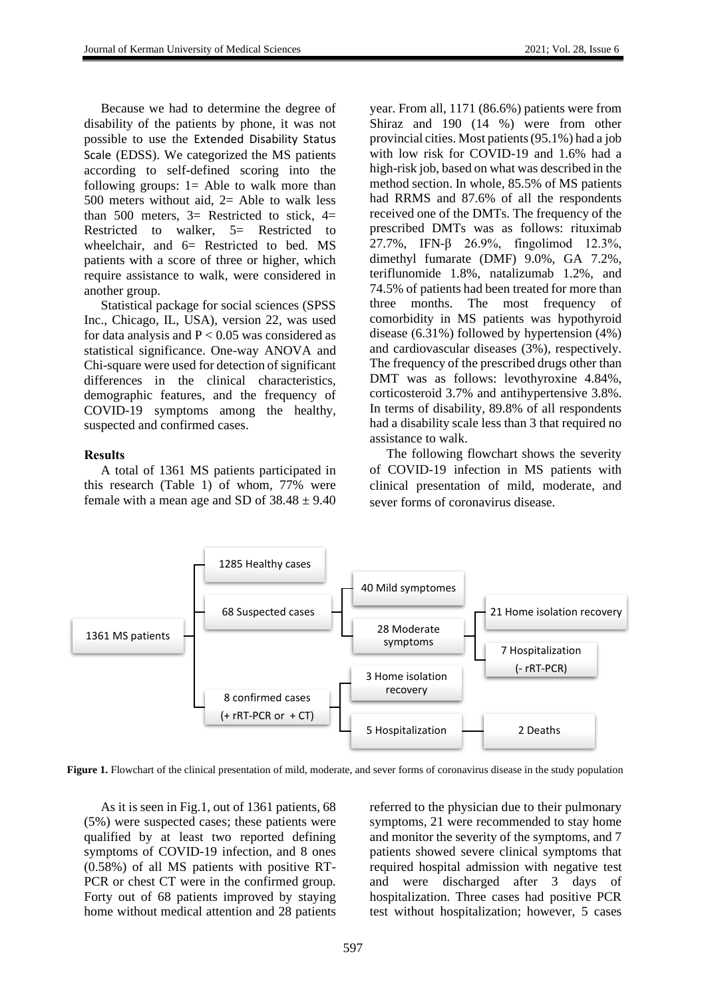Because we had to determine the degree of disability of the patients by phone, it was not possible to use the Extended Disability Status Scale (EDSS). We categorized the MS patients according to self-defined scoring into the following groups:  $1 =$  Able to walk more than 500 meters without aid, 2= Able to walk less than 500 meters,  $3=$  Restricted to stick,  $4=$ Restricted to walker, 5= Restricted to wheelchair, and  $6=$  Restricted to bed. MS patients with a score of three or higher, which require assistance to walk, were considered in another group.

Statistical package for social sciences (SPSS Inc., Chicago, IL, USA), version 22, was used for data analysis and  $P < 0.05$  was considered as statistical significance. One-way ANOVA and Chi-square were used for detection of significant differences in the clinical characteristics, demographic features, and the frequency of COVID-19 symptoms among the healthy, suspected and confirmed cases.

# **Results**

A total of 1361 MS patients participated in this research (Table 1) of whom, 77% were female with a mean age and SD of  $38.48 \pm 9.40$  year. From all, 1171 (86.6%) patients were from Shiraz and 190 (14 %) were from other provincial cities. Most patients (95.1%) had a job with low risk for COVID-19 and 1.6% had a high-risk job, based on what was described in the method section. In whole, 85.5% of MS patients had RRMS and 87.6% of all the respondents received one of the DMTs. The frequency of the prescribed DMTs was as follows: rituximab 27.7%, IFN-β 26.9%, fingolimod 12.3%, dimethyl fumarate (DMF) 9.0%, GA 7.2%, teriflunomide 1.8%, natalizumab 1.2%, and 74.5% of patients had been treated for more than three months. The most frequency of comorbidity in MS patients was hypothyroid disease (6.31%) followed by hypertension (4%) and cardiovascular diseases (3%), respectively. The frequency of the prescribed drugs other than DMT was as follows: levothyroxine 4.84%, corticosteroid 3.7% and antihypertensive 3.8%. In terms of disability, 89.8% of all respondents had a disability scale less than 3 that required no assistance to walk.

The following flowchart shows the severity of COVID-19 infection in MS patients with clinical presentation of mild, moderate, and sever forms of coronavirus disease.



**Figure 1.** Flowchart of the clinical presentation of mild, moderate, and sever forms of coronavirus disease in the study population

As it is seen in Fig.1, out of 1361 patients, 68 (5%) were suspected cases; these patients were qualified by at least two reported defining symptoms of COVID-19 infection, and 8 ones (0.58%) of all MS patients with positive RT-PCR or chest CT were in the confirmed group. Forty out of 68 patients improved by staying home without medical attention and 28 patients referred to the physician due to their pulmonary symptoms, 21 were recommended to stay home and monitor the severity of the symptoms, and 7 patients showed severe clinical symptoms that required hospital admission with negative test and were discharged after 3 days of hospitalization. Three cases had positive PCR test without hospitalization; however, 5 cases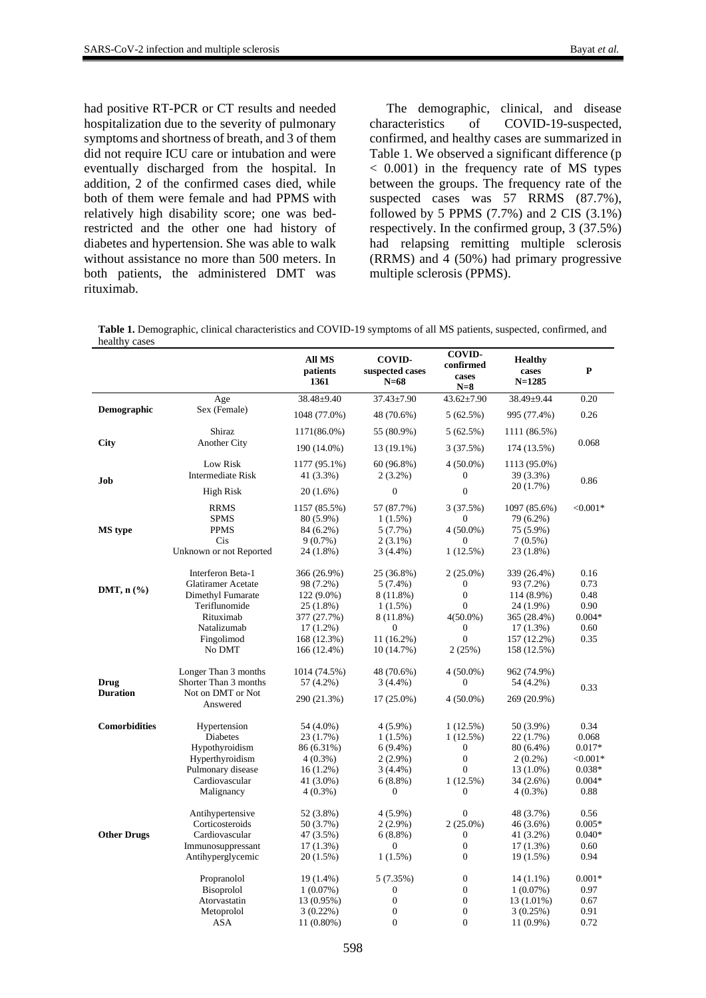had positive RT-PCR or CT results and needed hospitalization due to the severity of pulmonary symptoms and shortness of breath, and 3 of them did not require ICU care or intubation and were eventually discharged from the hospital. In addition, 2 of the confirmed cases died, while both of them were female and had PPMS with relatively high disability score; one was bedrestricted and the other one had history of diabetes and hypertension. She was able to walk without assistance no more than 500 meters. In both patients, the administered DMT was rituximab.

The demographic, clinical, and disease<br>characteristics of COVID-19-suspected, of COVID-19-suspected, confirmed, and healthy cases are summarized in Table 1. We observed a significant difference (p < 0.001) in the frequency rate of MS types between the groups. The frequency rate of the suspected cases was 57 RRMS (87.7%), followed by 5 PPMS  $(7.7%)$  and 2 CIS  $(3.1%)$ respectively. In the confirmed group, 3 (37.5%) had relapsing remitting multiple sclerosis (RRMS) and 4 (50%) had primary progressive multiple sclerosis (PPMS).

**Table 1.** Demographic, clinical characteristics and COVID-19 symptoms of all MS patients, suspected, confirmed, and healthy cases

|                         |                                                                                                                                               | <b>All MS</b><br>patients<br>1361                                                                                   | <b>COVID-</b><br>suspected cases<br>$N=68$                                                          | <b>COVID-</b><br>confirmed<br>cases<br>$N=8$                                                                                                                | <b>Healthy</b><br>cases<br>$N = 1285$                                                                           | P                                                                                |
|-------------------------|-----------------------------------------------------------------------------------------------------------------------------------------------|---------------------------------------------------------------------------------------------------------------------|-----------------------------------------------------------------------------------------------------|-------------------------------------------------------------------------------------------------------------------------------------------------------------|-----------------------------------------------------------------------------------------------------------------|----------------------------------------------------------------------------------|
| Demographic             | Age                                                                                                                                           | 38.48±9.40                                                                                                          | 37.43±7.90                                                                                          | $43.62 \pm 7.90$                                                                                                                                            | 38.49±9.44                                                                                                      | 0.20                                                                             |
|                         | Sex (Female)                                                                                                                                  | 1048 (77.0%)                                                                                                        | 48 (70.6%)                                                                                          | 5(62.5%)                                                                                                                                                    | 995 (77.4%)                                                                                                     | 0.26                                                                             |
| City                    | Shiraz<br><b>Another City</b>                                                                                                                 | 1171(86.0%)                                                                                                         | 55 (80.9%)                                                                                          | 5(62.5%)                                                                                                                                                    | 1111 (86.5%)                                                                                                    |                                                                                  |
|                         |                                                                                                                                               | 190 (14.0%)                                                                                                         | 13 (19.1%)                                                                                          | 3 (37.5%)                                                                                                                                                   | 174 (13.5%)                                                                                                     | 0.068                                                                            |
| Job                     | Low Risk<br><b>Intermediate Risk</b>                                                                                                          | 1177 (95.1%)<br>41 (3.3%)                                                                                           | 60 (96.8%)<br>$2(3.2\%)$                                                                            | $4(50.0\%)$<br>$\Omega$                                                                                                                                     | 1113 (95.0%)<br>39 (3.3%)                                                                                       | 0.86                                                                             |
|                         | High Risk                                                                                                                                     | 20(1.6%)                                                                                                            | $\overline{0}$                                                                                      | $\theta$                                                                                                                                                    | 20 (1.7%)                                                                                                       |                                                                                  |
| MS type                 | <b>RRMS</b><br><b>SPMS</b><br><b>PPMS</b><br>Cis<br>Unknown or not Reported                                                                   | 1157 (85.5%)<br>80 (5.9%)<br>84 (6.2%)<br>9(0.7%)<br>24 (1.8%)                                                      | 57 (87.7%)<br>$1(1.5\%)$<br>5(7.7%)<br>$2(3.1\%)$<br>$3(4.4\%)$                                     | 3 (37.5%)<br>$\boldsymbol{0}$<br>$4(50.0\%)$<br>$^{(1)}$<br>1(12.5%)                                                                                        | 1097 (85.6%)<br>79 (6.2%)<br>75 (5.9%)<br>$7(0.5\%)$<br>23 (1.8%)                                               | $< 0.001*$                                                                       |
| DMT, $n$ $(\%)$         | Interferon Beta-1<br><b>Glatiramer</b> Acetate<br>Dimethyl Fumarate<br>Teriflunomide<br>Rituximab<br>Natalizumab<br>Fingolimod                | 366 (26.9%)<br>98 (7.2%)<br>122 (9.0%)<br>25 (1.8%)<br>377 (27.7%)<br>$17(1.2\%)$<br>168 (12.3%)                    | 25 (36.8%)<br>$5(7.4\%)$<br>8 (11.8%)<br>1(1.5%)<br>8 (11.8%)<br>$\boldsymbol{0}$<br>11 (16.2%)     | $2(25.0\%)$<br>$\theta$<br>$\theta$<br>$\Omega$<br>$4(50.0\%)$<br>$\Omega$<br>$\theta$                                                                      | 339 (26.4%)<br>93 (7.2%)<br>114 (8.9%)<br>24 (1.9%)<br>365 (28.4%)<br>$17(1.3\%)$<br>157 (12.2%)                | 0.16<br>0.73<br>0.48<br>0.90<br>$0.004*$<br>0.60<br>0.35                         |
| Drug<br><b>Duration</b> | No DMT<br>Longer Than 3 months<br>Shorter Than 3 months<br>Not on DMT or Not<br>Answered                                                      | 166 (12.4%)<br>1014 (74.5%)<br>57 (4.2%)<br>290 (21.3%)                                                             | 10 (14.7%)<br>48 (70.6%)<br>$3(4.4\%)$<br>$17(25.0\%)$                                              | 2(25%)<br>$4(50.0\%)$<br>$\Omega$<br>$4(50.0\%)$                                                                                                            | 158 (12.5%)<br>962 (74.9%)<br>54 (4.2%)<br>269 (20.9%)                                                          | 0.33                                                                             |
| <b>Comorbidities</b>    | Hypertension<br><b>Diabetes</b><br>Hypothyroidism<br>Hyperthyroidism<br>Pulmonary disease<br>Cardiovascular<br>Malignancy<br>Antihypertensive | 54 (4.0%)<br>23 (1.7%)<br>86 (6.31%)<br>$4(0.3\%)$<br>$16(1.2\%)$<br>41 (3.0%)<br>$4(0.3\%)$<br>52 (3.8%)           | $4(5.9\%)$<br>$1(1.5\%)$<br>$6(9.4\%)$<br>$2(2.9\%)$<br>$3(4.4\%)$<br>$6(8.8\%)$<br>0<br>$4(5.9\%)$ | 1(12.5%)<br>1(12.5%)<br>$\boldsymbol{0}$<br>$\overline{0}$<br>$\overline{0}$<br>1(12.5%)<br>$\overline{0}$<br>$\Omega$                                      | 50 (3.9%)<br>22 (1.7%)<br>80 (6.4%)<br>$2(0.2\%)$<br>13 (1.0%)<br>34 (2.6%)<br>$4(0.3\%)$<br>48 (3.7%)          | 0.34<br>0.068<br>$0.017*$<br>$<,0.001*$<br>$0.038*$<br>$0.004*$<br>0.88<br>0.56  |
| <b>Other Drugs</b>      | Corticosteroids<br>Cardiovascular<br>Immunosuppressant<br>Antihyperglycemic<br>Propranolol<br>Bisoprolol<br>Atorvastatin<br>Metoprolol<br>ASA | 50 (3.7%)<br>47 (3.5%)<br>17(1.3%)<br>20 (1.5%)<br>19 (1.4%)<br>1(0.07%)<br>13 (0.95%)<br>$3(0.22\%)$<br>11 (0.80%) | $2(2.9\%)$<br>6(8.8%)<br>$\theta$<br>1(1.5%)<br>5(7.35%)<br>0<br>$\overline{0}$<br>0<br>$\theta$    | $2(25.0\%)$<br>$\overline{0}$<br>$\overline{0}$<br>$\boldsymbol{0}$<br>$\boldsymbol{0}$<br>$\boldsymbol{0}$<br>$\overline{0}$<br>$\overline{0}$<br>$\theta$ | 46 (3.6%)<br>41 (3.2%)<br>17(1.3%)<br>19 (1.5%)<br>14 (1.1%)<br>1(0.07%)<br>13 (1.01%)<br>3(0.25%)<br>11 (0.9%) | $0.005*$<br>$0.040*$<br>0.60<br>0.94<br>$0.001*$<br>0.97<br>0.67<br>0.91<br>0.72 |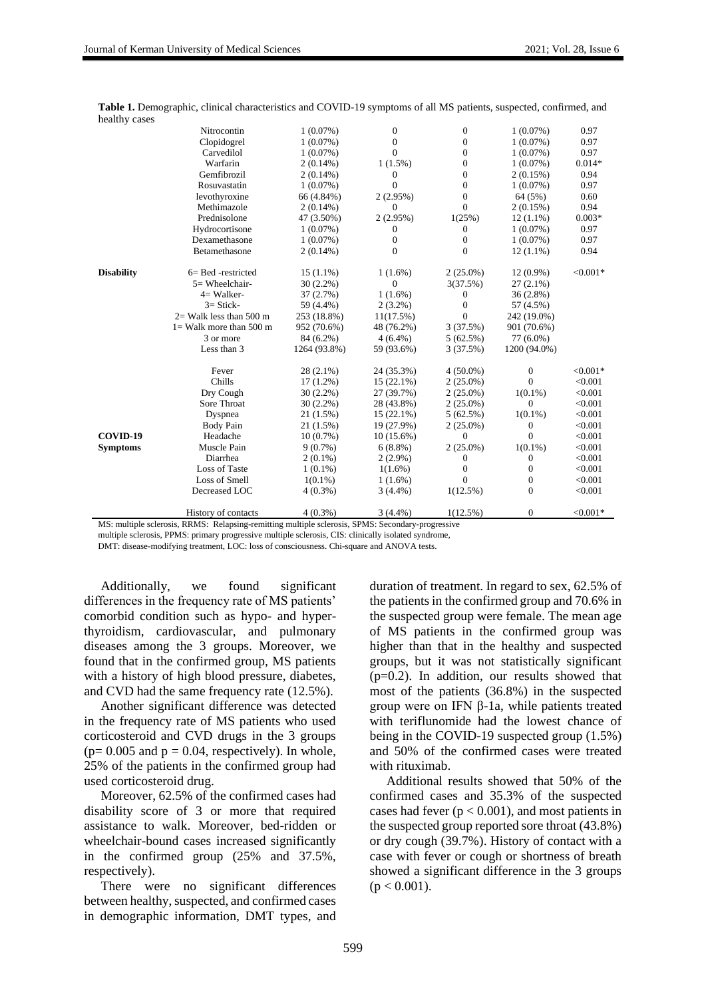|                   | Nitrocontin                | $1(0.07\%)$  | $\overline{0}$ | $\theta$         | 1(0.07%)         | 0.97       |
|-------------------|----------------------------|--------------|----------------|------------------|------------------|------------|
|                   | Clopidogrel                | $1(0.07\%)$  | $\overline{0}$ | $\overline{0}$   | $1(0.07\%)$      | 0.97       |
|                   | Carvedilol                 | $1(0.07\%)$  | $\Omega$       | 0                | $1(0.07\%)$      | 0.97       |
|                   | Warfarin                   | $2(0.14\%)$  | $1(1.5\%)$     | $\overline{0}$   | 1(0.07%)         | $0.014*$   |
|                   | Gemfibrozil                | $2(0.14\%)$  | 0              | $\boldsymbol{0}$ | 2(0.15%)         | 0.94       |
|                   | Rosuvastatin               | $1(0.07\%)$  | $\Omega$       | $\overline{0}$   | 1(0.07%)         | 0.97       |
|                   | levothyroxine              | 66 (4.84%)   | 2(2.95%)       | $\boldsymbol{0}$ | 64 (5%)          | 0.60       |
|                   | Methimazole                | $2(0.14\%)$  | $\theta$       | $\Omega$         | 2(0.15%)         | 0.94       |
|                   | Prednisolone               | 47 (3.50%)   | 2(2.95%)       | 1(25%)           | $12(1.1\%)$      | $0.003*$   |
|                   | Hydrocortisone             | $1(0.07\%)$  | 0              | $\theta$         | 1(0.07%)         | 0.97       |
|                   | Dexamethasone              | $1(0.07\%)$  | $\overline{0}$ | $\theta$         | 1(0.07%)         | 0.97       |
|                   | Betamethasone              | $2(0.14\%)$  | $\theta$       | $\mathbf{0}$     | $12(1.1\%)$      | 0.94       |
| <b>Disability</b> | $6 =$ Bed -restricted      | $15(1.1\%)$  | $1(1.6\%)$     | $2(25.0\%)$      | 12 (0.9%)        | $< 0.001*$ |
|                   | $5 =$ Wheelchair-          | $30(2.2\%)$  | $\theta$       | 3(37.5%)         | $27(2.1\%)$      |            |
|                   | 4= Walker-                 | 37 (2.7%)    | $1(1.6\%)$     | 0                | 36(2.8%)         |            |
|                   | $3 = \text{Stick}$         | 59 (4.4%)    | $2(3.2\%)$     | $\theta$         | 57 (4.5%)        |            |
|                   | $2=$ Walk less than 500 m  | 253 (18.8%)  | 11(17.5%)      | $\Omega$         | 242 (19.0%)      |            |
|                   | $l =$ Walk more than 500 m | 952 (70.6%)  | 48 (76.2%)     | 3(37.5%)         | 901 (70.6%)      |            |
|                   | 3 or more                  | 84 (6.2%)    | $4(6.4\%)$     | 5(62.5%)         | 77 (6.0%)        |            |
|                   | Less than 3                | 1264 (93.8%) | 59 (93.6%)     | 3(37.5%)         | 1200 (94.0%)     |            |
|                   | Fever                      | 28 (2.1%)    | 24 (35.3%)     | $4(50.0\%)$      | $\boldsymbol{0}$ | $< 0.001*$ |
|                   | Chills                     | $17(1.2\%)$  | $15(22.1\%)$   | $2(25.0\%)$      | $\mathbf{0}$     | < 0.001    |
|                   | Dry Cough                  | $30(2.2\%)$  | 27 (39.7%)     | $2(25.0\%)$      | $1(0.1\%)$       | < 0.001    |
|                   | Sore Throat                | $30(2.2\%)$  | 28 (43.8%)     | $2(25.0\%)$      | $\mathbf{0}$     | < 0.001    |
|                   | Dyspnea                    | 21 (1.5%)    | $15(22.1\%)$   | 5(62.5%)         | $1(0.1\%)$       | < 0.001    |
|                   | <b>Body Pain</b>           | 21 (1.5%)    | 19 (27.9%)     | $2(25.0\%)$      | $\mathbf{0}$     | < 0.001    |
| COVID-19          | Headache                   | $10(0.7\%)$  | $10(15.6\%)$   | 0                | $\Omega$         | < 0.001    |
| <b>Symptoms</b>   | Muscle Pain                | $9(0.7\%)$   | $6(8.8\%)$     | $2(25.0\%)$      | $1(0.1\%)$       | < 0.001    |
|                   | Diarrhea                   | $2(0.1\%)$   | $2(2.9\%)$     | 0                | 0                | < 0.001    |
|                   | Loss of Taste              | $1(0.1\%)$   | $1(1.6\%)$     | $\boldsymbol{0}$ | $\mathbf{0}$     | < 0.001    |
|                   | Loss of Smell              | $1(0.1\%)$   | $1(1.6\%)$     | $\Omega$         | $\mathbf{0}$     | < 0.001    |
|                   | Decreased LOC              | $4(0.3\%)$   | $3(4.4\%)$     | 1(12.5%)         | $\mathbf{0}$     | < 0.001    |
|                   | History of contacts        | $4(0.3\%)$   | $3(4.4\%)$     | $1(12.5\%)$      | $\mathbf{0}$     | $< 0.001*$ |

**Table 1.** Demographic, clinical characteristics and COVID-19 symptoms of all MS patients, suspected, confirmed, and healthy cases

MS: multiple sclerosis, RRMS: Relapsing-remitting multiple sclerosis, SPMS: Secondary-progressive

multiple sclerosis, PPMS: primary progressive multiple sclerosis, CIS: clinically isolated syndrome,

DMT: disease-modifying treatment, LOC: loss of consciousness. Chi-square and ANOVA tests.

Additionally, we found significant differences in the frequency rate of MS patients' comorbid condition such as hypo- and hyperthyroidism, cardiovascular, and pulmonary diseases among the 3 groups. Moreover, we found that in the confirmed group, MS patients with a history of high blood pressure, diabetes, and CVD had the same frequency rate (12.5%).

Another significant difference was detected in the frequency rate of MS patients who used corticosteroid and CVD drugs in the 3 groups  $(p= 0.005$  and  $p = 0.04$ , respectively). In whole, 25% of the patients in the confirmed group had used corticosteroid drug.

Moreover, 62.5% of the confirmed cases had disability score of 3 or more that required assistance to walk. Moreover, bed-ridden or wheelchair-bound cases increased significantly in the confirmed group (25% and 37.5%, respectively).

There were no significant differences between healthy, suspected, and confirmed cases in demographic information, DMT types, and duration of treatment. In regard to sex, 62.5% of the patients in the confirmed group and 70.6% in the suspected group were female. The mean age of MS patients in the confirmed group was higher than that in the healthy and suspected groups, but it was not statistically significant (p=0.2). In addition, our results showed that most of the patients (36.8%) in the suspected group were on IFN β-1a, while patients treated with teriflunomide had the lowest chance of being in the COVID-19 suspected group (1.5%) and 50% of the confirmed cases were treated with rituximab.

Additional results showed that 50% of the confirmed cases and 35.3% of the suspected cases had fever ( $p < 0.001$ ), and most patients in the suspected group reported sore throat (43.8%) or dry cough (39.7%). History of contact with a case with fever or cough or shortness of breath showed a significant difference in the 3 groups  $(p < 0.001)$ .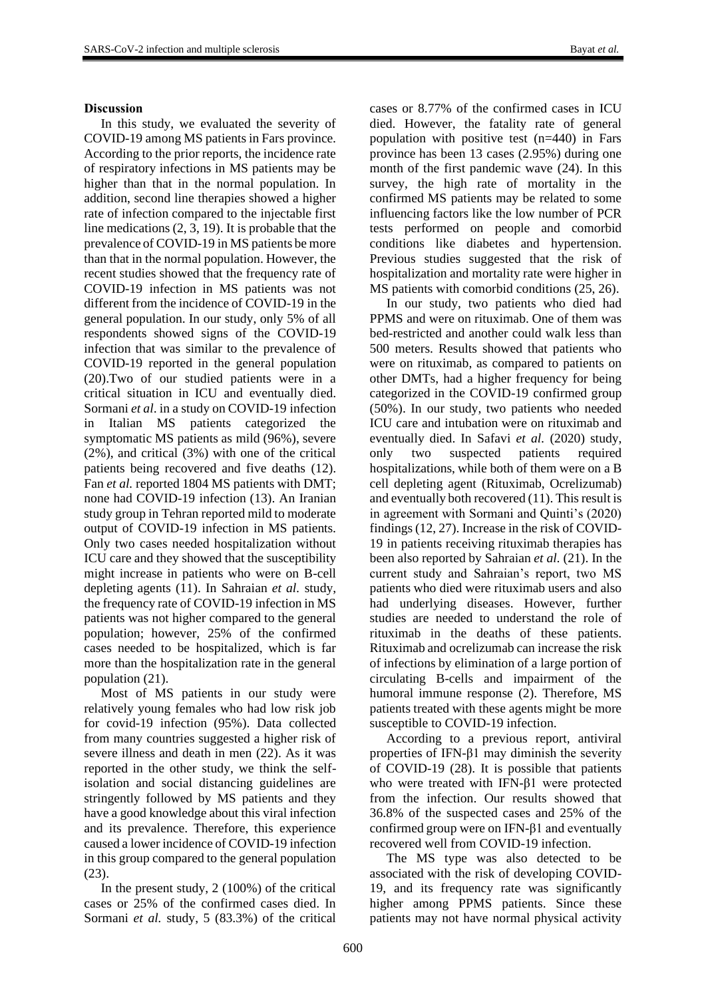## **Discussion**

In this study, we evaluated the severity of COVID-19 among MS patients in Fars province. According to the prior reports, the incidence rate of respiratory infections in MS patients may be higher than that in the normal population. In addition, second line therapies showed a higher rate of infection compared to the injectable first line medications (2, 3, 19). It is probable that the prevalence of COVID-19 in MS patients be more than that in the normal population. However, the recent studies showed that the frequency rate of COVID-19 infection in MS patients was not different from the incidence of COVID-19 in the general population. In our study, only 5% of all respondents showed signs of the COVID-19 infection that was similar to the prevalence of COVID-19 reported in the general population (20).Two of our studied patients were in a critical situation in ICU and eventually died. Sormani *et al*. in a study on COVID-19 infection in Italian MS patients categorized the symptomatic MS patients as mild (96%), severe (2%), and critical (3%) with one of the critical patients being recovered and five deaths (12). Fan *et al.* reported 1804 MS patients with DMT; none had COVID-19 infection (13). An Iranian study group in Tehran reported mild to moderate output of COVID-19 infection in MS patients. Only two cases needed hospitalization without ICU care and they showed that the susceptibility might increase in patients who were on B-cell depleting agents (11). In Sahraian *et al.* study, the frequency rate of COVID-19 infection in MS patients was not higher compared to the general population; however, 25% of the confirmed cases needed to be hospitalized, which is far more than the hospitalization rate in the general population (21).

Most of MS patients in our study were relatively young females who had low risk job for covid-19 infection (95%). Data collected from many countries suggested a higher risk of severe illness and death in men (22). As it was reported in the other study, we think the selfisolation and social distancing guidelines are stringently followed by MS patients and they have a good knowledge about this viral infection and its prevalence. Therefore, this experience caused a lower incidence of COVID-19 infection in this group compared to the general population (23).

In the present study, 2 (100%) of the critical cases or 25% of the confirmed cases died. In Sormani *et al.* study, 5 (83.3%) of the critical

cases or 8.77% of the confirmed cases in ICU died. However, the fatality rate of general population with positive test (n=440) in Fars province has been 13 cases (2.95%) during one month of the first pandemic wave (24). In this survey, the high rate of mortality in the confirmed MS patients may be related to some influencing factors like the low number of PCR tests performed on people and comorbid conditions like diabetes and hypertension. Previous studies suggested that the risk of hospitalization and mortality rate were higher in MS patients with comorbid conditions (25, 26).

In our study, two patients who died had PPMS and were on rituximab. One of them was bed-restricted and another could walk less than 500 meters. Results showed that patients who were on rituximab, as compared to patients on other DMTs, had a higher frequency for being categorized in the COVID-19 confirmed group (50%). In our study, two patients who needed ICU care and intubation were on rituximab and eventually died. In Safavi *et al.* (2020) study, only two suspected patients required hospitalizations, while both of them were on a B cell depleting agent (Rituximab, Ocrelizumab) and eventually both recovered (11). This result is in agreement with Sormani and Quinti's (2020) findings (12, 27). Increase in the risk of COVID-19 in patients receiving rituximab therapies has been also reported by Sahraian *et al.* (21). In the current study and Sahraian's report, two MS patients who died were rituximab users and also had underlying diseases. However, further studies are needed to understand the role of rituximab in the deaths of these patients. Rituximab and ocrelizumab can increase the risk of infections by elimination of a large portion of circulating B-cells and impairment of the humoral immune response (2). Therefore, MS patients treated with these agents might be more susceptible to COVID-19 infection.

According to a previous report, antiviral properties of IFN-β1 may diminish the severity of COVID-19 (28). It is possible that patients who were treated with IFN-β1 were protected from the infection. Our results showed that 36.8% of the suspected cases and 25% of the confirmed group were on IFN-β1 and eventually recovered well from COVID-19 infection.

The MS type was also detected to be associated with the risk of developing COVID-19, and its frequency rate was significantly higher among PPMS patients. Since these patients may not have normal physical activity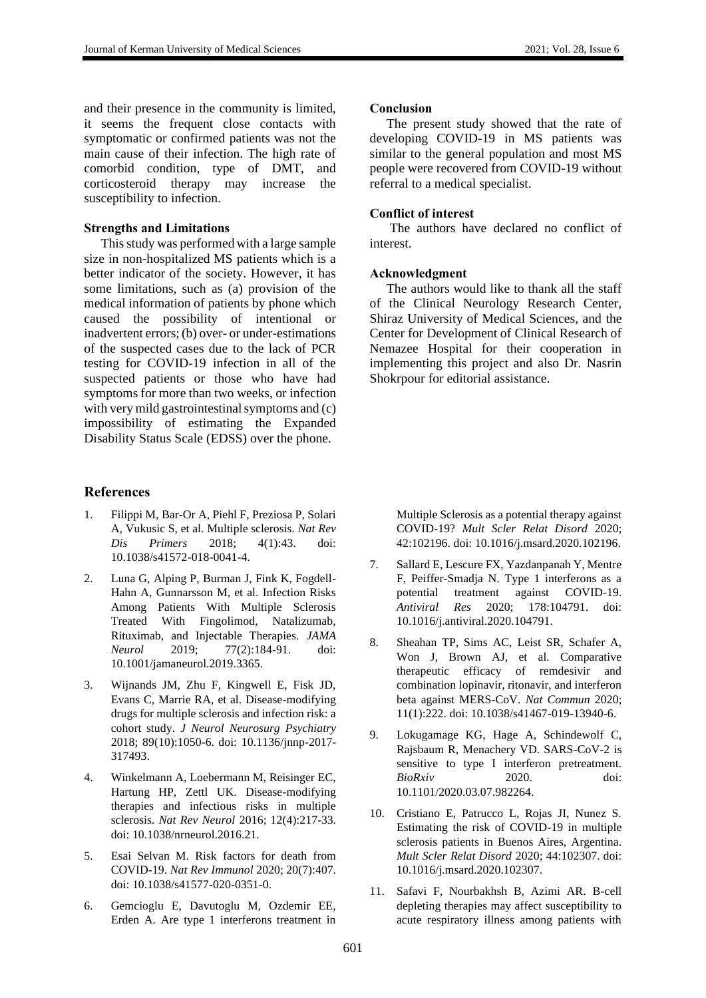and their presence in the community is limited, it seems the frequent close contacts with symptomatic or confirmed patients was not the main cause of their infection. The high rate of comorbid condition, type of DMT, and corticosteroid therapy may increase the susceptibility to infection.

#### **Strengths and Limitations**

This study was performed with a large sample size in non-hospitalized MS patients which is a better indicator of the society. However, it has some limitations, such as (a) provision of the medical information of patients by phone which caused the possibility of intentional or inadvertent errors; (b) over- or under-estimations of the suspected cases due to the lack of PCR testing for COVID-19 infection in all of the suspected patients or those who have had symptoms for more than two weeks, or infection with very mild gastrointestinal symptoms and (c) impossibility of estimating the Expanded Disability Status Scale (EDSS) over the phone.

#### **References**

- 1. Filippi M, Bar-Or A, Piehl F, Preziosa P, Solari A, Vukusic S, et al. Multiple sclerosis. *Nat Rev Dis Primers* 2018; 4(1):43. doi: 10.1038/s41572-018-0041-4.
- 2. Luna G, Alping P, Burman J, Fink K, Fogdell-Hahn A, Gunnarsson M, et al. Infection Risks Among Patients With Multiple Sclerosis Treated With Fingolimod, Natalizumab, Rituximab, and Injectable Therapies. *JAMA Neurol* 2019; 77(2):184-91. doi: 10.1001/jamaneurol.2019.3365.
- 3. Wijnands JM, Zhu F, Kingwell E, Fisk JD, Evans C, Marrie RA, et al. Disease-modifying drugs for multiple sclerosis and infection risk: a cohort study. *J Neurol Neurosurg Psychiatry* 2018; 89(10):1050-6. doi: 10.1136/jnnp-2017- 317493.
- 4. Winkelmann A, Loebermann M, Reisinger EC, Hartung HP, Zettl UK. Disease-modifying therapies and infectious risks in multiple sclerosis. *Nat Rev Neurol* 2016; 12(4):217-33. doi: 10.1038/nrneurol.2016.21.
- 5. Esai Selvan M. Risk factors for death from COVID-19. *Nat Rev Immunol* 2020; 20(7):407. doi: 10.1038/s41577-020-0351-0.
- 6. Gemcioglu E, Davutoglu M, Ozdemir EE, Erden A. Are type 1 interferons treatment in

#### **Conclusion**

The present study showed that the rate of developing COVID-19 in MS patients was similar to the general population and most MS people were recovered from COVID-19 without referral to a medical specialist.

# **Conflict of interest**

The authors have declared no conflict of interest.

#### **Acknowledgment**

The authors would like to thank all the staff of the Clinical Neurology Research Center, Shiraz University of Medical Sciences, and the Center for Development of Clinical Research of Nemazee Hospital for their cooperation in implementing this project and also Dr. Nasrin Shokrpour for editorial assistance.

Multiple Sclerosis as a potential therapy against COVID-19? *Mult Scler Relat Disord* 2020; 42:102196. doi: 10.1016/j.msard.2020.102196.

- 7. Sallard E, Lescure FX, Yazdanpanah Y, Mentre F, Peiffer-Smadja N. Type 1 interferons as a potential treatment against COVID-19. *Antiviral Res* 2020; 178:104791. doi: 10.1016/j.antiviral.2020.104791.
- 8. Sheahan TP, Sims AC, Leist SR, Schafer A, Won J, Brown AJ, et al. Comparative therapeutic efficacy of remdesivir and combination lopinavir, ritonavir, and interferon beta against MERS-CoV. *Nat Commun* 2020; 11(1):222. doi: 10.1038/s41467-019-13940-6.
- 9. Lokugamage KG, Hage A, Schindewolf C, Rajsbaum R, Menachery VD. SARS-CoV-2 is sensitive to type I interferon pretreatment. *BioRxiv* 2020. doi: 10.1101/2020.03.07.982264.
- 10. Cristiano E, Patrucco L, Rojas JI, Nunez S. Estimating the risk of COVID-19 in multiple sclerosis patients in Buenos Aires, Argentina. *Mult Scler Relat Disord* 2020; 44:102307. doi: 10.1016/j.msard.2020.102307.
- 11. Safavi F, Nourbakhsh B, Azimi AR. B-cell depleting therapies may affect susceptibility to acute respiratory illness among patients with